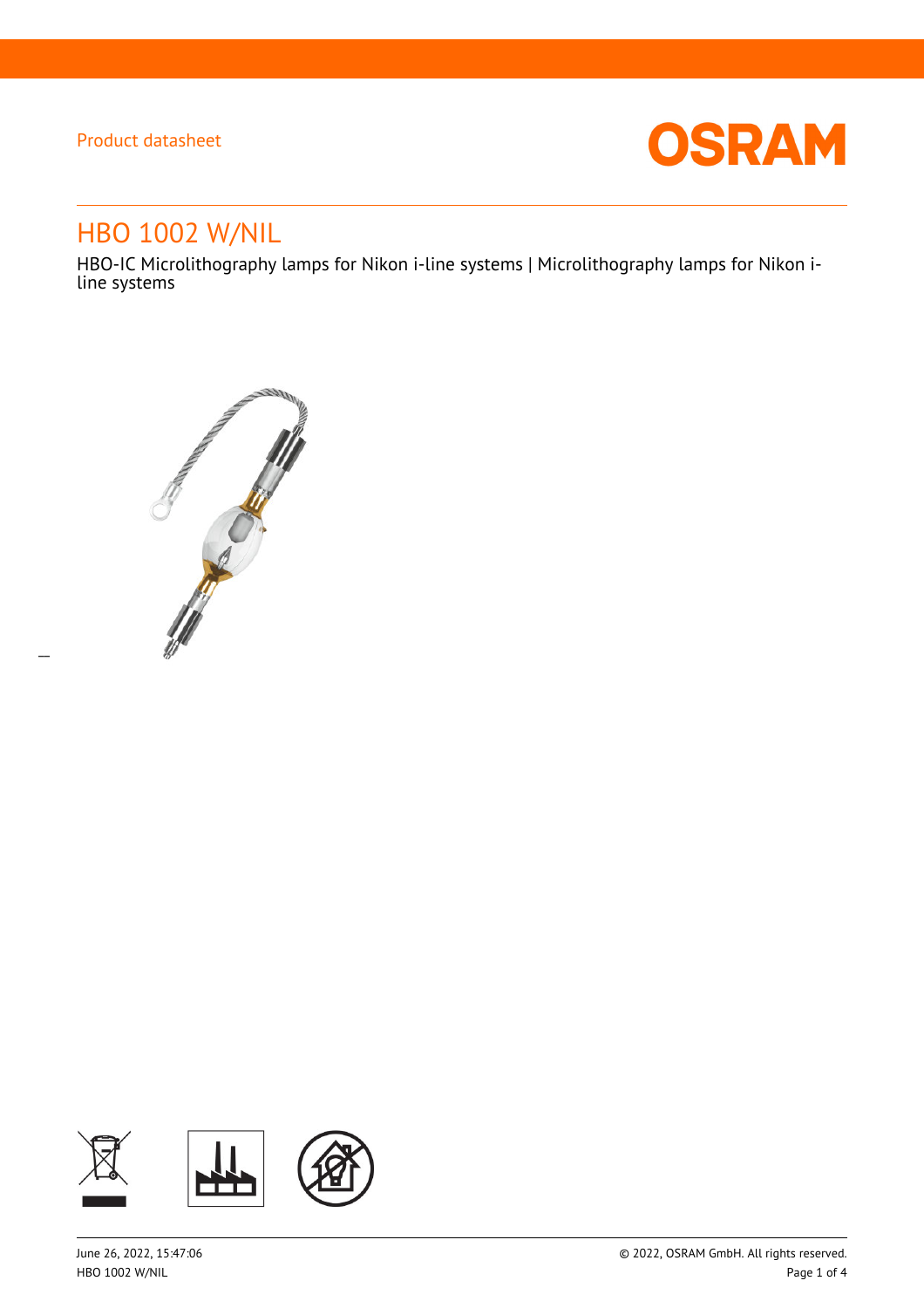$\overline{a}$ 



# HBO 1002 W/NIL

HBO-IC Microlithography lamps for Nikon i-line systems | Microlithography lamps for Nikon iline systems



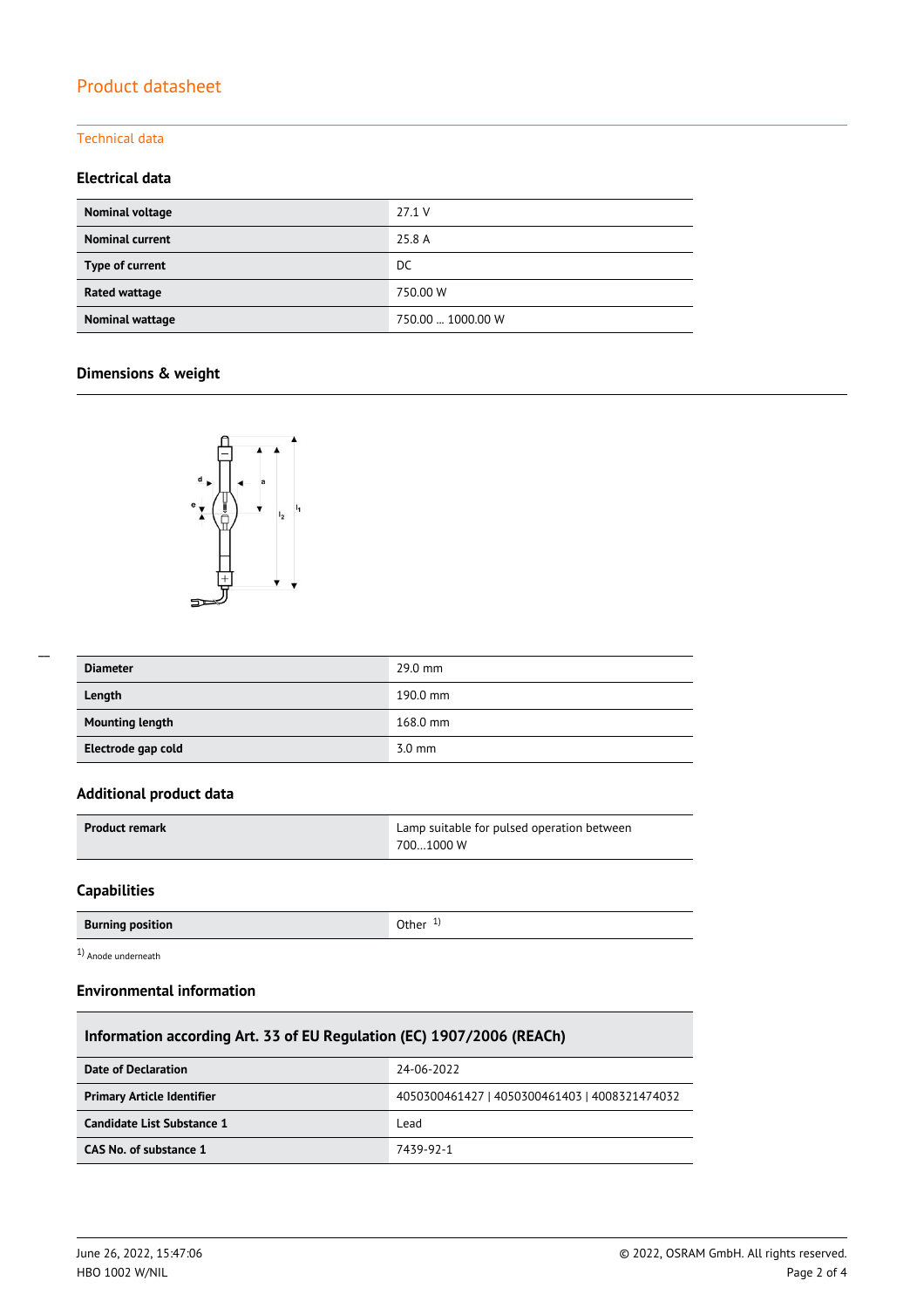### Technical data

### **Electrical data**

| Nominal voltage        | 27.1V             |
|------------------------|-------------------|
| <b>Nominal current</b> | 25.8 A            |
| Type of current        | DC                |
| Rated wattage          | 750.00 W          |
| Nominal wattage        | 750.00  1000.00 W |

### **Dimensions & weight**



| --- |  |
|-----|--|
|     |  |
|     |  |
|     |  |

| <b>Diameter</b>        | 29.0 mm          |
|------------------------|------------------|
| Length                 | 190.0 mm         |
| <b>Mounting length</b> | 168.0 mm         |
| Electrode gap cold     | $3.0 \text{ mm}$ |

### **Additional product data**

| <b>Product remark</b> | Lamp suitable for pulsed operation between |
|-----------------------|--------------------------------------------|
|                       | 7001000 W                                  |

### **Capabilities**

| <b>Burning position</b><br>Other |  |
|----------------------------------|--|
|----------------------------------|--|

1) Anode underneath

#### **Environmental information**

| Information according Art. 33 of EU Regulation (EC) 1907/2006 (REACh) |                                               |  |
|-----------------------------------------------------------------------|-----------------------------------------------|--|
| Date of Declaration                                                   | 24-06-2022                                    |  |
| <b>Primary Article Identifier</b>                                     | 4050300461427   4050300461403   4008321474032 |  |
| Candidate List Substance 1                                            | Lead                                          |  |
| CAS No. of substance 1                                                | 7439-92-1                                     |  |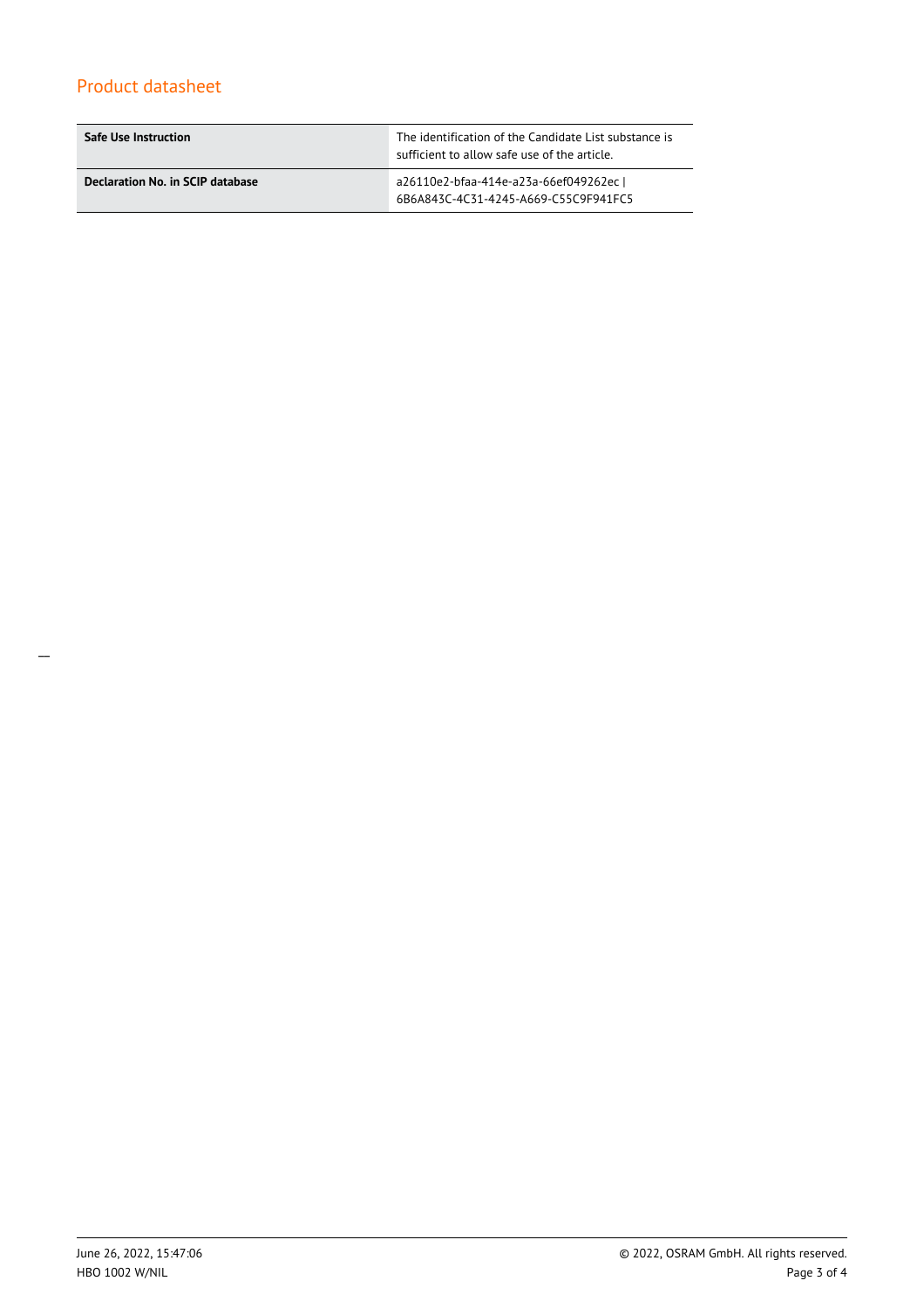| <b>Safe Use Instruction</b>      | The identification of the Candidate List substance is<br>sufficient to allow safe use of the article. |
|----------------------------------|-------------------------------------------------------------------------------------------------------|
| Declaration No. in SCIP database | a26110e2-bfaa-414e-a23a-66ef049262ec I<br>6B6A843C-4C31-4245-A669-C55C9F941FC5                        |